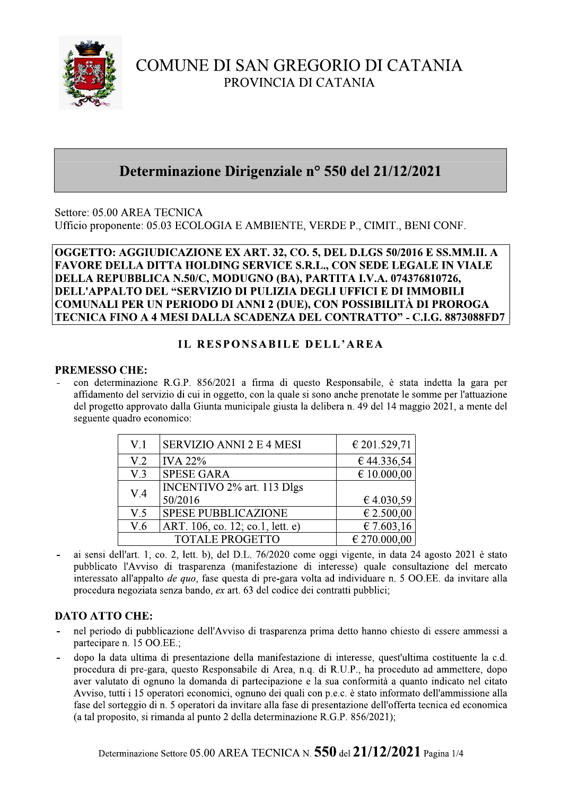

## COMUNE DI SAN GREGORIO DI CATANIA PROVINCIA DI CATANIA

## Determinazione Dirigenziale nº 550 del 21/12/2021

Settore: 05.00 AREA TECNICA Ufficio proponente: 05.03 ECOLOGIA E AMBIENTE, VERDE P., CIMIT., BENI CONF.

OGGETTO: AGGIUDICAZIONE EX ART. 32, CO. 5, DEL D.LGS 50/2016 E SS.MM.II. A **FAVORE DELLA DITTA HOLDING SERVICE S.R.L., CON SEDE LEGALE IN VIALE** DELLA REPUBBLICA N.50/C. MODUGNO (BA), PARTITA I.V.A. 074376810726. DELL'APPALTO DEL "SERVIZIO DI PULIZIA DEGLI UFFICI E DI IMMOBILI COMUNALI PER UN PERIODO DI ANNI 2 (DUE), CON POSSIBILITÀ DI PROROGA TECNICA FINO A 4 MESI DALLA SCADENZA DEL CONTRATTO" - C.I.G. 8873088FD7

### IL RESPONSABILE DELL'AREA

#### **PREMESSO CHE:**

con determinazione R.G.P. 856/2021 a firma di questo Responsabile, è stata indetta la gara per affidamento del servizio di cui in oggetto, con la quale si sono anche prenotate le somme per l'attuazione del progetto approvato dalla Giunta municipale giusta la delibera n. 49 del 14 maggio 2021, a mente del seguente quadro economico:

| V <sub>1</sub>   | <b>SERVIZIO ANNI 2 E 4 MESI</b>   | € 201.529,71    |
|------------------|-----------------------------------|-----------------|
| V <sub>1</sub> 2 | <b>IVA 22%</b>                    | €44.336,54      |
| V.3              | <b>SPESE GARA</b>                 | $\in 10.000,00$ |
| V.4              | INCENTIVO 2% art. 113 Dlgs        |                 |
|                  | 50/2016                           | €4.030,59       |
| V.5              | <b>SPESE PUBBLICAZIONE</b>        | € 2.500,00      |
| V.6              | ART. 106, co. 12; co. 1, lett. e) | € 7.603,16      |
|                  | <b>TOTALE PROGETTO</b>            | € 270.000,00    |

ai sensi dell'art. 1, co. 2, lett. b), del D.L. 76/2020 come oggi vigente, in data 24 agosto 2021 è stato pubblicato l'Avviso di trasparenza (manifestazione di interesse) quale consultazione del mercato interessato all'appalto *de quo*, fase questa di pre-gara volta ad individuare n. 5 OO.EE. da invitare alla procedura negoziata senza bando, ex art. 63 del codice dei contratti pubblici;

#### **DATO ATTO CHE:**

- nel periodo di pubblicazione dell'Avviso di trasparenza prima detto hanno chiesto di essere ammessi a partecipare n. 15 OO.EE.;
- dopo la data ultima di presentazione della manifestazione di interesse, quest'ultima costituente la c.d. procedura di pre-gara, questo Responsabile di Area, n.q. di R.U.P., ha proceduto ad ammettere, dopo aver valutato di ognuno la domanda di partecipazione e la sua conformità a quanto indicato nel citato Avviso, tutti i 15 operatori economici, ognuno dei quali con p.e.c. è stato informato dell'ammissione alla fase del sorteggio di n. 5 operatori da invitare alla fase di presentazione dell'offerta tecnica ed economica (a tal proposito, si rimanda al punto 2 della determinazione R.G.P. 856/2021);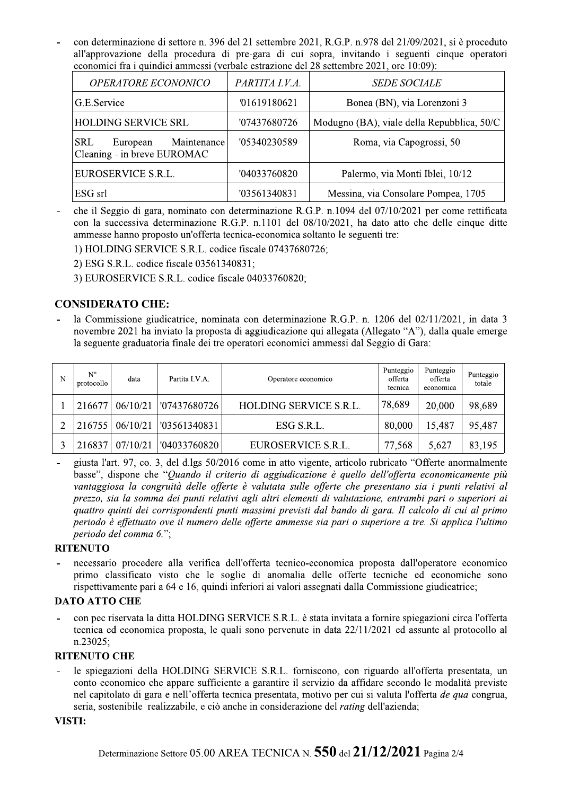con determinazione di settore n. 396 del 21 settembre 2021, R.G.P. n.978 del 21/09/2021, si è proceduto all'approvazione della procedura di pre-gara di cui sopra, invitando i seguenti cinque operatori economici fra i quindici ammessi (verbale estrazione del 28 settembre 2021, ore 10:09):

| <b>OPERATORE ECONONICO</b>                                           | PARTITA I.V.A. | <b>SEDE SOCIALE</b>                        |
|----------------------------------------------------------------------|----------------|--------------------------------------------|
| G.E.Service                                                          | '01619180621   | Bonea (BN), via Lorenzoni 3                |
| <b>HOLDING SERVICE SRL</b>                                           | '07437680726   | Modugno (BA), viale della Repubblica, 50/C |
| Maintenance<br><b>SRL</b><br>European<br>Cleaning - in breve EUROMAC | '05340230589   | Roma, via Capogrossi, 50                   |
| EUROSERVICE S.R.L.                                                   | '04033760820   | Palermo, via Monti Iblei, 10/12            |
| ESG srl                                                              | '03561340831   | Messina, via Consolare Pompea, 1705        |

che il Seggio di gara, nominato con determinazione R.G.P. n.1094 del 07/10/2021 per come rettificata con la successiva determinazione R.G.P. n.1101 del 08/10/2021, ha dato atto che delle cinque ditte ammesse hanno proposto un'offerta tecnica-economica soltanto le seguenti tre:

1) HOLDING SERVICE S.R.L. codice fiscale 07437680726;

2) ESG S.R.L. codice fiscale 03561340831;

3) EUROSERVICE S.R.L. codice fiscale 04033760820:

#### **CONSIDERATO CHE:**

la Commissione giudicatrice, nominata con determinazione R.G.P. n. 1206 del 02/11/2021, in data 3 novembre 2021 ha inviato la proposta di aggiudicazione qui allegata (Allegato "A"), dalla quale emerge la seguente graduatoria finale dei tre operatori economici ammessi dal Seggio di Gara:

| N | $N^{\circ}$<br>protocollo | data     | Partita I.V.A. | Operatore economico    | Punteggio<br>offerta<br>tecnica | Punteggio<br>offerta<br>economica | Punteggio<br>totale |
|---|---------------------------|----------|----------------|------------------------|---------------------------------|-----------------------------------|---------------------|
|   | 216677                    | 06/10/21 | '07437680726   | HOLDING SERVICE S.R.L. | 78,689                          | 20,000                            | 98,689              |
|   | 216755                    | 06/10/21 | '03561340831   | ESG S.R.L.             | 80,000                          | 15,487                            | 95,487              |
|   | 216837                    | 07/10/21 | '04033760820   | EUROSERVICE S.R.L.     | 77,568                          | 5,627                             | 83,195              |

giusta l'art. 97, co. 3, del d.lgs 50/2016 come in atto vigente, articolo rubricato "Offerte anormalmente  $\sim$ basse", dispone che "Quando il criterio di aggiudicazione è quello dell'offerta economicamente più vantaggiosa la congruità delle offerte è valutata sulle offerte che presentano sia i punti relativi al prezzo, sia la somma dei punti relativi agli altri elementi di valutazione, entrambi pari o superiori ai quattro quinti dei corrispondenti punti massimi previsti dal bando di gara. Il calcolo di cui al primo periodo è effettuato ove il numero delle offerte ammesse sia pari o superiore a tre. Si applica l'ultimo periodo del comma 6.";

#### **RITENUTO**

necessario procedere alla verifica dell'offerta tecnico-economica proposta dall'operatore economico primo classificato visto che le soglie di anomalia delle offerte tecniche ed economiche sono rispettivamente pari a 64 e 16, quindi inferiori ai valori assegnati dalla Commissione giudicatrice;

#### **DATO ATTO CHE**

con pec riservata la ditta HOLDING SERVICE S.R.L. è stata invitata a fornire spiegazioni circa l'offerta tecnica ed economica proposta, le quali sono pervenute in data 22/11/2021 ed assunte al protocollo al  $n.23025$ ;

#### **RITENUTO CHE**

le spiegazioni della HOLDING SERVICE S.R.L. forniscono, con riguardo all'offerta presentata, un conto economico che appare sufficiente a garantire il servizio da affidare secondo le modalità previste nel capitolato di gara e nell'offerta tecnica presentata, motivo per cui si valuta l'offerta de qua congrua, seria, sostenibile realizzabile, e ciò anche in considerazione del *rating* dell'azienda;

#### VISTI: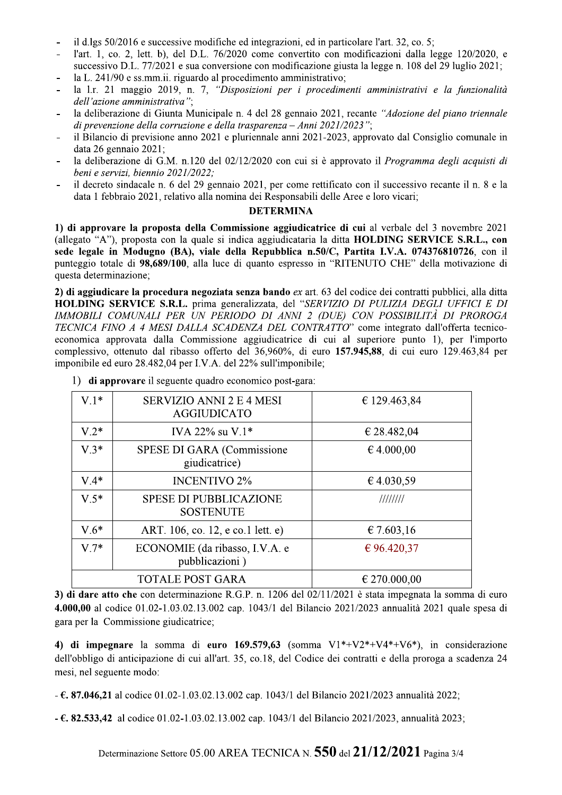- il d.lgs 50/2016 e successive modifiche ed integrazioni, ed in particolare l'art. 32, co. 5;
- l'art. 1, co. 2, lett. b), del D.L. 76/2020 come convertito con modificazioni dalla legge 120/2020, e successivo D.L. 77/2021 e sua conversione con modificazione giusta la legge n. 108 del 29 luglio 2021;
- la L. 241/90 e ss.mm.ii. riguardo al procedimento amministrativo;
- la 1.r. 21 maggio 2019, n. 7, "Disposizioni per i procedimenti amministrativi e la funzionalità dell'azione amministrativa":
- la deliberazione di Giunta Municipale n. 4 del 28 gennaio 2021, recante "Adozione del piano triennale" di prevenzione della corruzione e della trasparenza – Anni 2021/2023";
- il Bilancio di previsione anno 2021 e pluriennale anni 2021-2023, approvato dal Consiglio comunale in data 26 gennaio 2021;
- la deliberazione di G.M. n.120 del 02/12/2020 con cui si è approvato il Programma degli acquisti di  $\overline{a}$ beni e servizi, biennio 2021/2022:
- il decreto sindacale n. 6 del 29 gennaio 2021, per come rettificato con il successivo recante il n. 8 e la data 1 febbraio 2021, relativo alla nomina dei Responsabili delle Aree e loro vicari;

#### **DETERMINA**

1) di approvare la proposta della Commissione aggiudicatrice di cui al verbale del 3 novembre 2021 (allegato "A"), proposta con la quale si indica aggiudicataria la ditta HOLDING SERVICE S.R.L., con sede legale in Modugno (BA), viale della Repubblica n.50/C, Partita I.V.A. 074376810726, con il punteggio totale di 98,689/100, alla luce di quanto espresso in "RITENUTO CHE" della motivazione di questa determinazione;

2) di aggiudicare la procedura negoziata senza bando ex art. 63 del codice dei contratti pubblici, alla ditta HOLDING SERVICE S.R.L. prima generalizzata, del "SERVIZIO DI PULIZIA DEGLI UFFICI E DI IMMOBILI COMUNALI PER UN PERIODO DI ANNI 2 (DUE) CON POSSIBILITÀ DI PROROGA TECNICA FINO A 4 MESI DALLA SCADENZA DEL CONTRATTO" come integrato dall'offerta tecnicoeconomica approvata dalla Commissione aggiudicatrice di cui al superiore punto 1), per l'importo complessivo, ottenuto dal ribasso offerto del 36,960%, di euro 157.945,88, di cui euro 129.463,84 per imponibile ed euro 28.482,04 per I.V.A. del 22% sull'imponibile;

| $V.1*$ | <b>SERVIZIO ANNI 2 E 4 MESI</b><br><b>AGGIUDICATO</b> | € 129.463,84     |  |  |
|--------|-------------------------------------------------------|------------------|--|--|
| $V.2*$ | IVA 22% su $V.1*$                                     | € 28.482,04      |  |  |
| $V.3*$ | SPESE DI GARA (Commissione<br>giudicatrice)           | € 4.000,00       |  |  |
| $V.4*$ | <b>INCENTIVO 2%</b>                                   | €4.030,59        |  |  |
| $V.5*$ | <b>SPESE DI PUBBLICAZIONE</b><br><b>SOSTENUTE</b>     | ////////         |  |  |
| $V.6*$ | ART. 106, co. 12, e co.1 lett. e)                     | € 7.603,16       |  |  |
| $V.7*$ | ECONOMIE (da ribasso, I.V.A. e<br>pubblicazioni)      | € 96.420,37      |  |  |
|        | <b>TOTALE POST GARA</b>                               | $\in$ 270.000,00 |  |  |

1) di approvare il seguente quadro economico post-gara:

3) di dare atto che con determinazione R.G.P. n. 1206 del 02/11/2021 è stata impegnata la somma di euro 4.000,00 al codice 01.02-1.03.02.13.002 cap. 1043/1 del Bilancio 2021/2023 annualità 2021 quale spesa di gara per la Commissione giudicatrice;

4) di impegnare la somma di euro 169.579,63 (somma  $V1*+V2*+V4*+V6*$ ), in considerazione dell'obbligo di anticipazione di cui all'art. 35, co.18, del Codice dei contratti e della proroga a scadenza 24 mesi, nel seguente modo:

 $-6.87.046,21$  al codice 01.02-1.03.02.13.002 cap. 1043/1 del Bilancio 2021/2023 annualità 2022;

 $-6.82.533.42$  al codice 01.02-1.03.02.13.002 cap. 1043/1 del Bilancio 2021/2023, annualità 2023;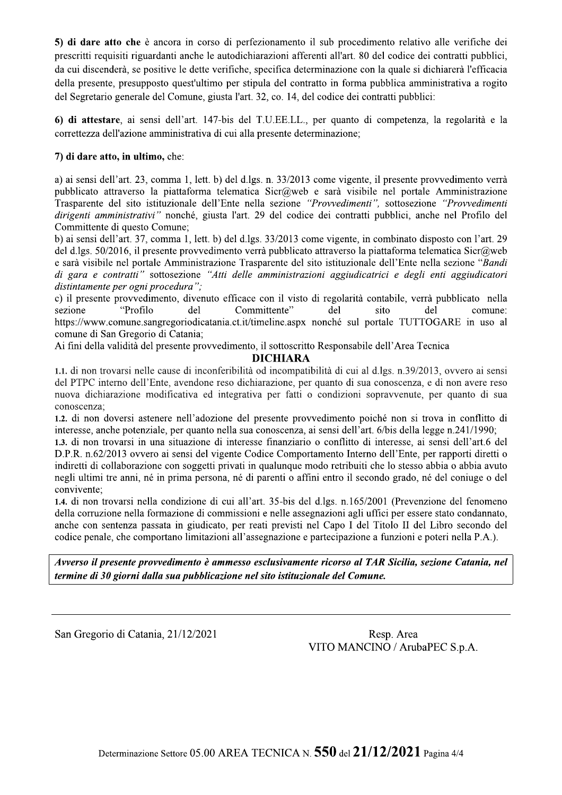5) di dare atto che è ancora in corso di perfezionamento il sub procedimento relativo alle verifiche dei prescritti requisiti riguardanti anche le autodichiarazioni afferenti all'art. 80 del codice dei contratti pubblici, da cui discenderà, se positive le dette verifiche, specifica determinazione con la quale si dichiarerà l'efficacia della presente, presupposto quest'ultimo per stipula del contratto in forma pubblica amministrativa a rogito del Segretario generale del Comune, giusta l'art. 32, co. 14, del codice dei contratti pubblici:

6) di attestare, ai sensi dell'art. 147-bis del T.U.E.L.L., per quanto di competenza, la regolarità e la correttezza dell'azione amministrativa di cui alla presente determinazione;

#### 7) di dare atto, in ultimo, che:

a) ai sensi dell'art. 23, comma 1, lett. b) del d.lgs. n. 33/2013 come vigente, il presente provvedimento verrà pubblicato attraverso la piattaforma telematica Sicr@web e sarà visibile nel portale Amministrazione Trasparente del sito istituzionale dell'Ente nella sezione "Provvedimenti", sottosezione "Provvedimenti dirigenti amministrativi" nonché, giusta l'art. 29 del codice dei contratti pubblici, anche nel Profilo del Committente di questo Comune:

b) ai sensi dell'art. 37, comma 1, lett. b) del d.lgs. 33/2013 come vigente, in combinato disposto con l'art. 29 del d.lgs. 50/2016, il presente provvedimento verrà pubblicato attraverso la piattaforma telematica Sicr@web e sarà visibile nel portale Amministrazione Trasparente del sito istituzionale dell'Ente nella sezione "Bandi di gara e contratti" sottosezione "Atti delle amministrazioni aggiudicatrici e degli enti aggiudicatori distintamente per ogni procedura";

c) il presente provvedimento, divenuto efficace con il visto di regolarità contabile, verrà pubblicato nella "Profilo sezione del Committente" del sito del comune: https://www.comune.sangregoriodicatania.ct.it/timeline.aspx nonché sul portale TUTTOGARE in uso al comune di San Gregorio di Catania:

Ai fini della validità del presente provvedimento, il sottoscritto Responsabile dell'Area Tecnica

#### **DICHIARA**

1.1, di non trovarsi nelle cause di inconferibilità od incompatibilità di cui al d.lgs. n.39/2013, ovvero ai sensi del PTPC interno dell'Ente, avendone reso dichiarazione, per quanto di sua conoscenza, e di non avere reso nuova dichiarazione modificativa ed integrativa per fatti o condizioni sopravvenute, per quanto di sua conoscenza:

1.2. di non doversi astenere nell'adozione del presente provvedimento poiché non si trova in conflitto di interesse, anche potenziale, per quanto nella sua conoscenza, ai sensi dell'art. 6/bis della legge n.241/1990;

1.3. di non trovarsi in una situazione di interesse finanziario o conflitto di interesse, ai sensi dell'art.6 del D.P.R. n.62/2013 ovvero ai sensi del vigente Codice Comportamento Interno dell'Ente, per rapporti diretti o indiretti di collaborazione con soggetti privati in qualunque modo retribuiti che lo stesso abbia o abbia avuto negli ultimi tre anni, né in prima persona, né di parenti o affini entro il secondo grado, né del coniuge o del convivente;

1.4. di non trovarsi nella condizione di cui all'art. 35-bis del d.lgs. n.165/2001 (Prevenzione del fenomeno della corruzione nella formazione di commissioni e nelle assegnazioni agli uffici per essere stato condannato, anche con sentenza passata in giudicato, per reati previsti nel Capo I del Titolo II del Libro secondo del codice penale, che comportano limitazioni all'assegnazione e partecipazione a funzioni e poteri nella P.A.).

Avverso il presente provvedimento è ammesso esclusivamente ricorso al TAR Sicilia, sezione Catania, nel termine di 30 giorni dalla sua pubblicazione nel sito istituzionale del Comune.

San Gregorio di Catania, 21/12/2021

Resp. Area VITO MANCINO / ArubaPEC S.p.A.